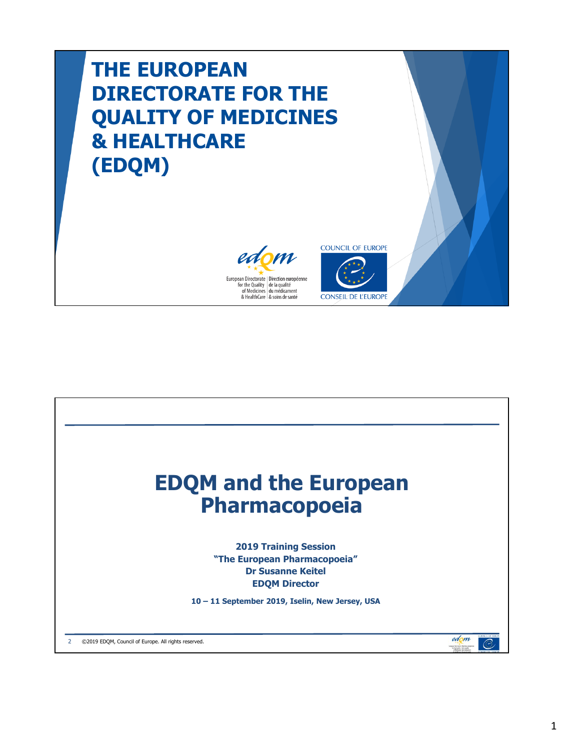### **THE EUROPEAN DIRECTORATE FOR THE QUALITY OF MEDICINES & HEALTHCARE (EDQM)**





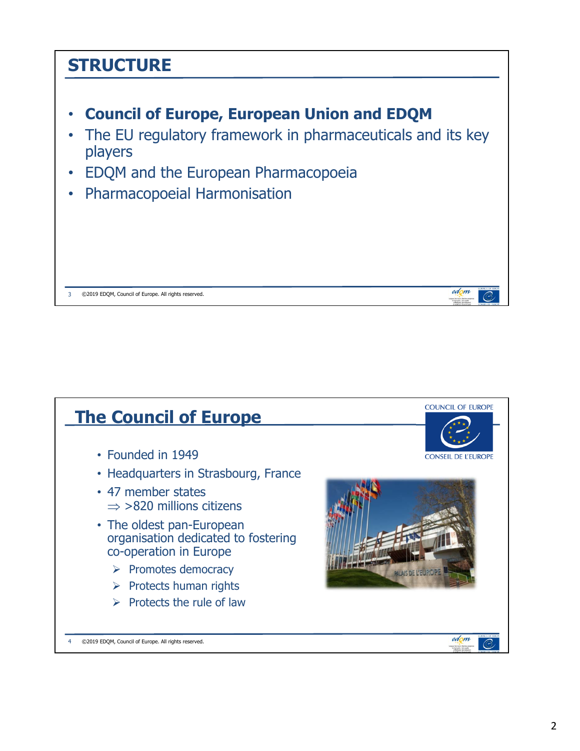# **STRUCTURE** • **Council of Europe, European Union and EDQM** • The EU regulatory framework in pharmaceuticals and its key players • EDQM and the European Pharmacopoeia • Pharmacopoeial Harmonisation edom 3 ©2019 EDQM, Council of Europe. All rights reserved.

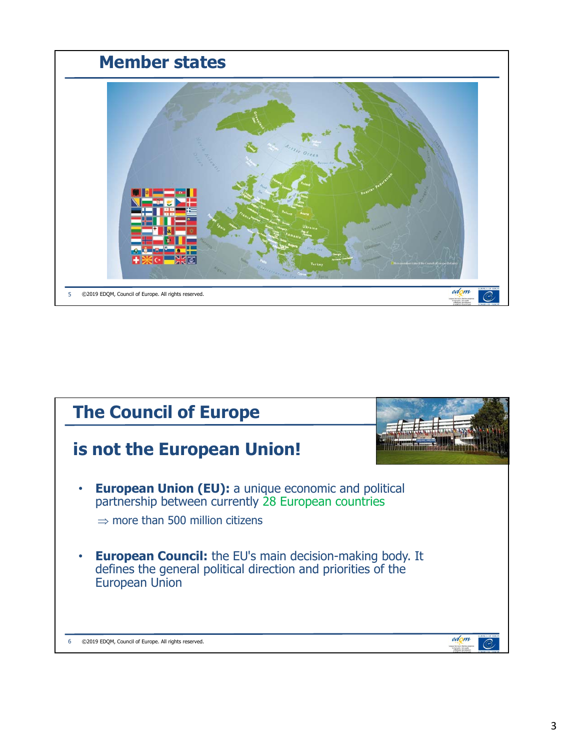

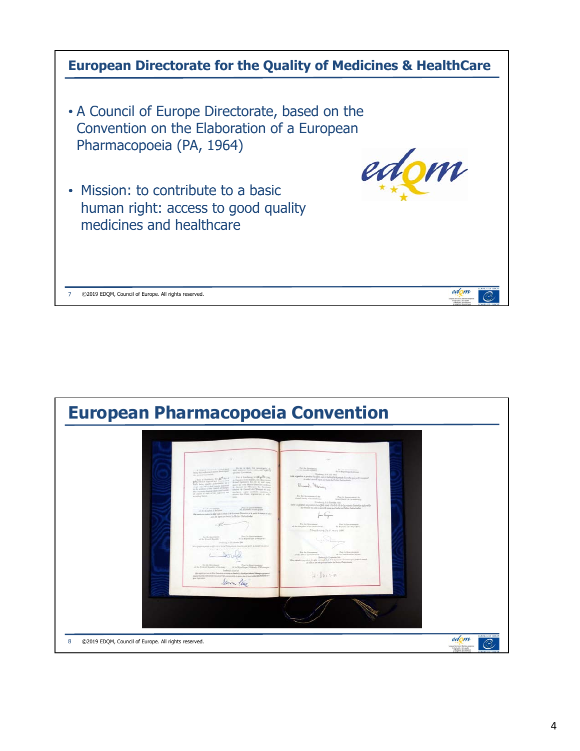

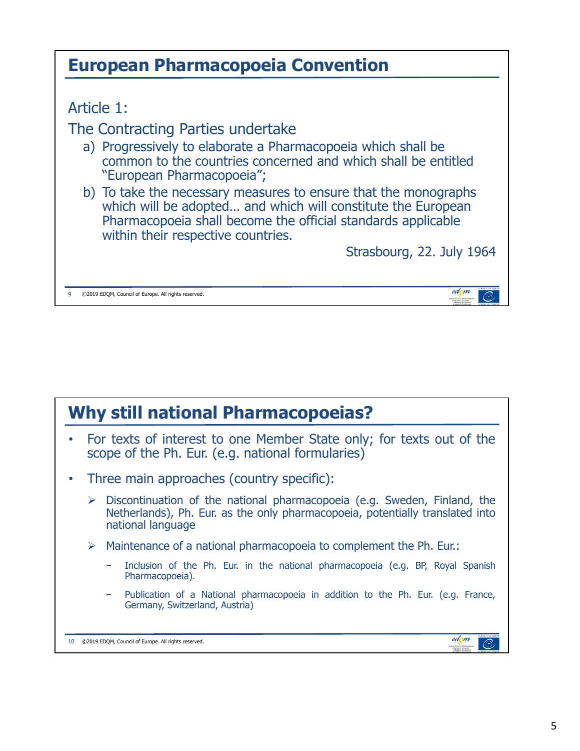| <b>European Pharmacopoeia Convention</b>                                                                                                                                                                                              |
|---------------------------------------------------------------------------------------------------------------------------------------------------------------------------------------------------------------------------------------|
|                                                                                                                                                                                                                                       |
| Article 1:                                                                                                                                                                                                                            |
| The Contracting Parties undertake                                                                                                                                                                                                     |
| a) Progressively to elaborate a Pharmacopoeia which shall be<br>common to the countries concerned and which shall be entitled<br>"European Pharmacopoeia";                                                                            |
| b) To take the necessary measures to ensure that the monographs<br>which will be adopted and which will constitute the European<br>Pharmacopoeia shall become the official standards applicable<br>within their respective countries. |
| Strasbourg, 22. July 1964                                                                                                                                                                                                             |
| ©2019 EDQM, Council of Europe. All rights reserved.                                                                                                                                                                                   |

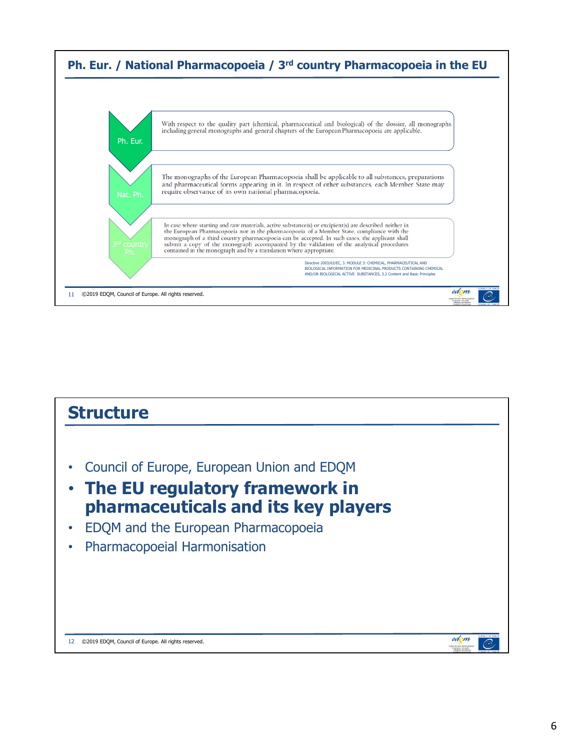

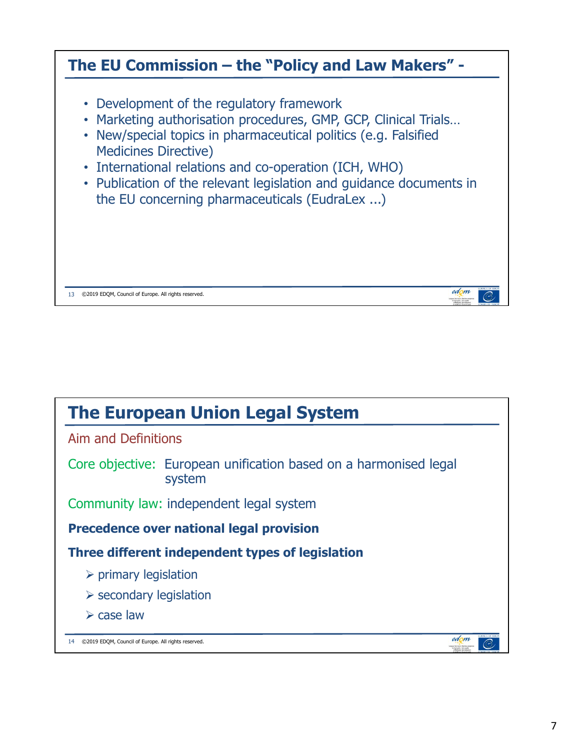

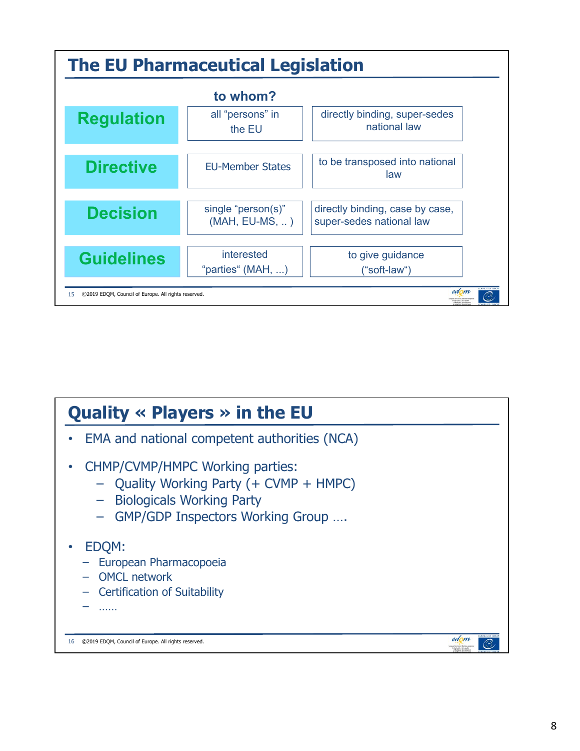

| Quality $\ll$ Players $\gg$ in the EU                                                                                                           |      |
|-------------------------------------------------------------------------------------------------------------------------------------------------|------|
| EMA and national competent authorities (NCA)                                                                                                    |      |
| CHMP/CVMP/HMPC Working parties:<br>- Quality Working Party (+ CVMP + HMPC)<br>- Biologicals Working Party<br>- GMP/GDP Inspectors Working Group |      |
| EDQM:<br>European Pharmacopoeia<br>- OMCL network<br><b>Certification of Suitability</b><br>.                                                   |      |
| ©2019 EDOM, Council of Europe. All rights reserved.<br>16                                                                                       | edom |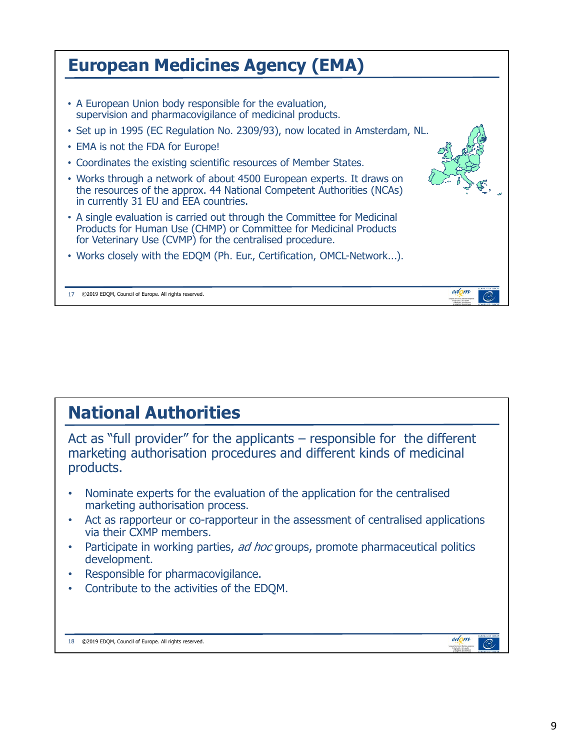| <b>European Medicines Agency (EMA)</b>                                                                                                                                                                                                                                                                                                                                                                                                                                                                 |
|--------------------------------------------------------------------------------------------------------------------------------------------------------------------------------------------------------------------------------------------------------------------------------------------------------------------------------------------------------------------------------------------------------------------------------------------------------------------------------------------------------|
| • A European Union body responsible for the evaluation,<br>supervision and pharmacovigilance of medicinal products.<br>• Set up in 1995 (EC Regulation No. 2309/93), now located in Amsterdam, NL.<br>• EMA is not the FDA for Europe!<br>• Coordinates the existing scientific resources of Member States.<br>• Works through a network of about 4500 European experts. It draws on<br>the resources of the approx. 44 National Competent Authorities (NCAs)<br>in currently 31 EU and EEA countries. |
| • A single evaluation is carried out through the Committee for Medicinal<br>Products for Human Use (CHMP) or Committee for Medicinal Products<br>for Veterinary Use (CVMP) for the centralised procedure.<br>• Works closely with the EDQM (Ph. Eur., Certification, OMCL-Network).                                                                                                                                                                                                                    |
| edon<br>©2019 EDQM, Council of Europe. All rights reserved.                                                                                                                                                                                                                                                                                                                                                                                                                                            |

#### **National Authorities**

Act as "full provider" for the applicants – responsible for the different marketing authorisation procedures and different kinds of medicinal products.

- Nominate experts for the evaluation of the application for the centralised marketing authorisation process.
- Act as rapporteur or co-rapporteur in the assessment of centralised applications via their CXMP members.
- Participate in working parties, ad hoc groups, promote pharmaceutical politics development.
- Responsible for pharmacovigilance.
- Contribute to the activities of the EDQM.

18 ©2019 EDQM, Council of Europe. All rights reserved.

edom

standard responsibility<br>| The Dualty<br>| Historicans

 $\overline{C}$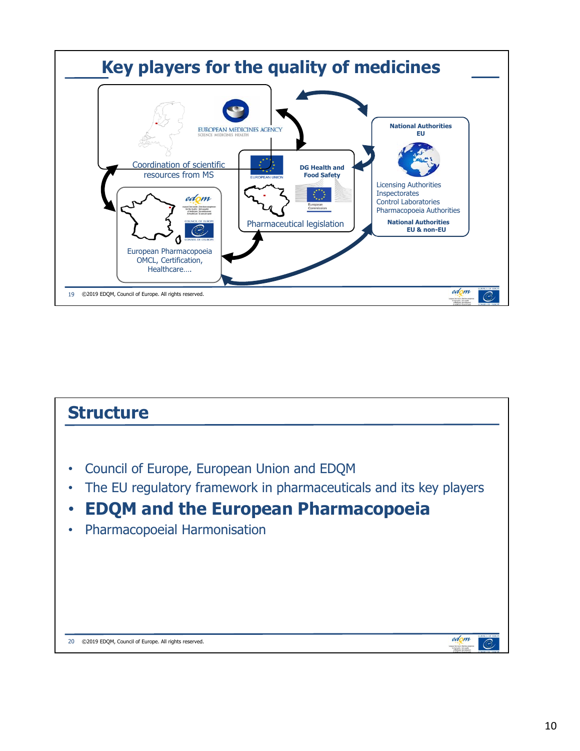

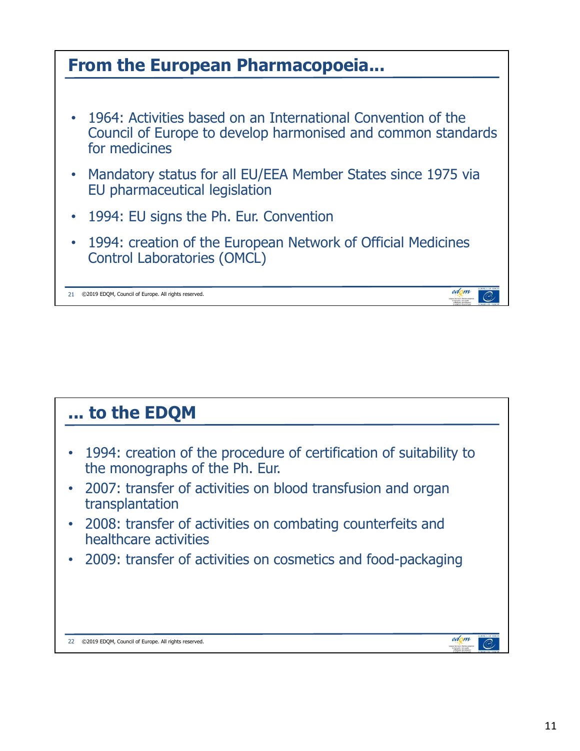

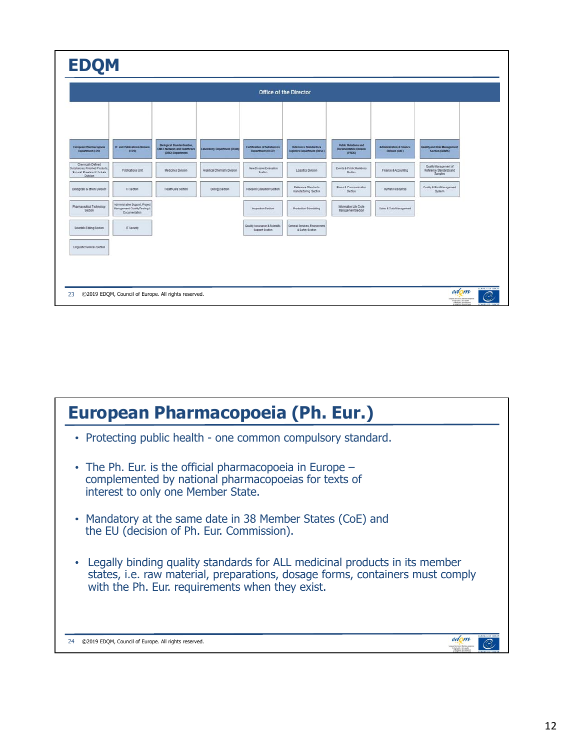| <b>Office of the Director</b>                                                                  |                                                                                          |                                                                                               |                                     |                                                         |                                                                 |                                                                               |                                                       |                                                                    |  |  |
|------------------------------------------------------------------------------------------------|------------------------------------------------------------------------------------------|-----------------------------------------------------------------------------------------------|-------------------------------------|---------------------------------------------------------|-----------------------------------------------------------------|-------------------------------------------------------------------------------|-------------------------------------------------------|--------------------------------------------------------------------|--|--|
| European Pharmacopoeia<br><b>Department (EPD)</b>                                              | IT and Publications Division<br>at POI                                                   | <b>Bological Standardisation</b> ,<br><b>CANCL Network and Healthcare</b><br>(DBO) Department | <b>Laboratory Department (DLab)</b> | <b>Certification of Substances</b><br>Department (DCEP) | <b>Reference Standards &amp;</b><br>Logistics Department (DRSL) | <b>Public Relations and</b><br><b>Documentation Division</b><br><b>IPROO1</b> | <b>Administration &amp; Finance</b><br>Division (DAF) | Quality and Risk Management<br>Section (GRMS)                      |  |  |
| Chemically Defined<br>Substances, Finished Products.<br>General Chapters & Herbals<br>Division | Publications Unit                                                                        | Medicines Division                                                                            | Analytical Chemistry Division       | New Dossier Evaluation<br><b>Section</b>                | Logistics Division                                              | Events & Public Relations<br>Section.                                         | Finance & Accounting                                  | Quality Management of<br>Reference Standards and<br><b>Samples</b> |  |  |
| Biologicals & others Division                                                                  | IT Section                                                                               | HealthCare Section                                                                            | Biology Section                     | Revision Evaluation Section                             | Reference Standards<br>manufacturing Section                    | Press & Communication<br>Sedión                                               | <b>Human Resources</b>                                | Quality & Risk Management<br>System:                               |  |  |
| Pharmaceutical Technology<br>Section                                                           | Administrative Support, Project<br>Management, Quality/Testing &<br><b>Documentation</b> |                                                                                               |                                     | Inspection Section                                      | Production Scheduling                                           | Information Life Cycle<br><b>Management Section</b>                           | Sales & Data Management                               |                                                                    |  |  |
| Scientific Editing Section                                                                     | IT Security                                                                              |                                                                                               |                                     | Quality Assurance & Scientific<br>Support Section       | General Services, Environment<br>& Safety Section               |                                                                               |                                                       |                                                                    |  |  |
| Linguistic Services Section                                                                    |                                                                                          |                                                                                               |                                     |                                                         |                                                                 |                                                                               |                                                       |                                                                    |  |  |

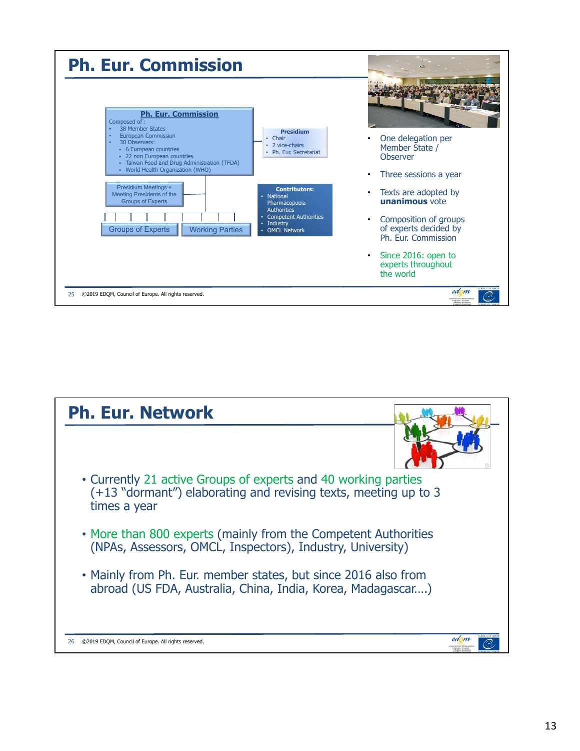

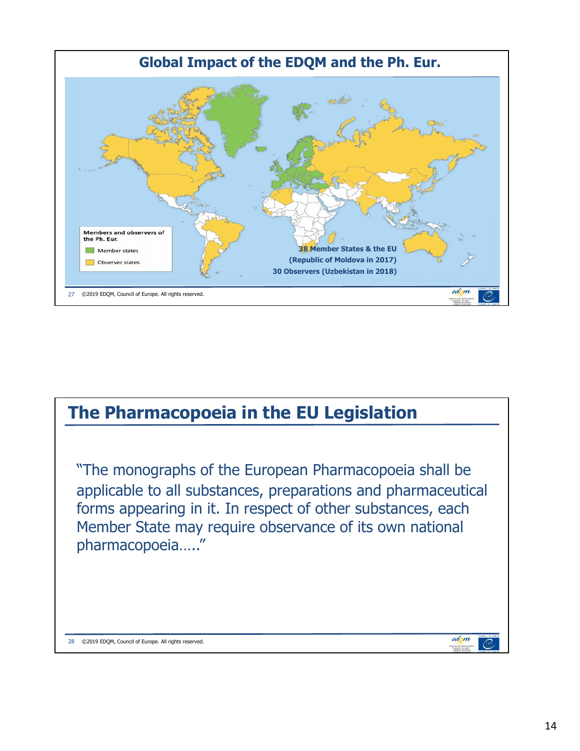

## **The Pharmacopoeia in the EU Legislation** "The monographs of the European Pharmacopoeia shall be applicable to all substances, preparations and pharmaceutical forms appearing in it. In respect of other substances, each Member State may require observance of its own national pharmacopoeia….."edom 28 ©2019 EDQM, Council of Europe. All rights reserved. ⊘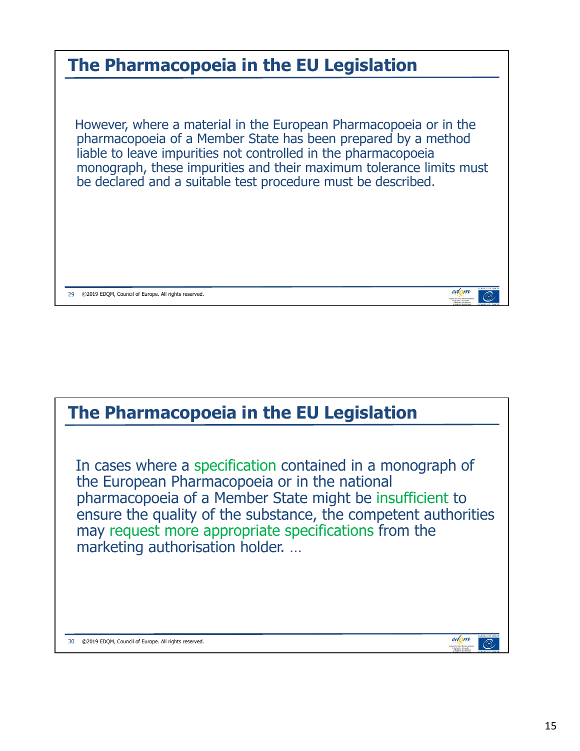

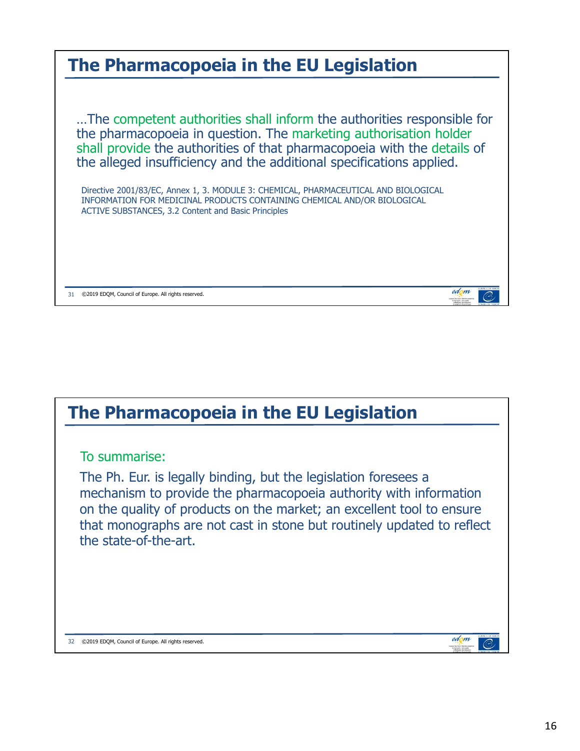

### **The Pharmacopoeia in the EU Legislation**

#### To summarise:

The Ph. Eur. is legally binding, but the legislation foresees a mechanism to provide the pharmacopoeia authority with information on the quality of products on the market; an excellent tool to ensure that monographs are not cast in stone but routinely updated to reflect the state-of-the-art.

32 ©2019 EDQM, Council of Europe. All rights reserved.

edom

⊘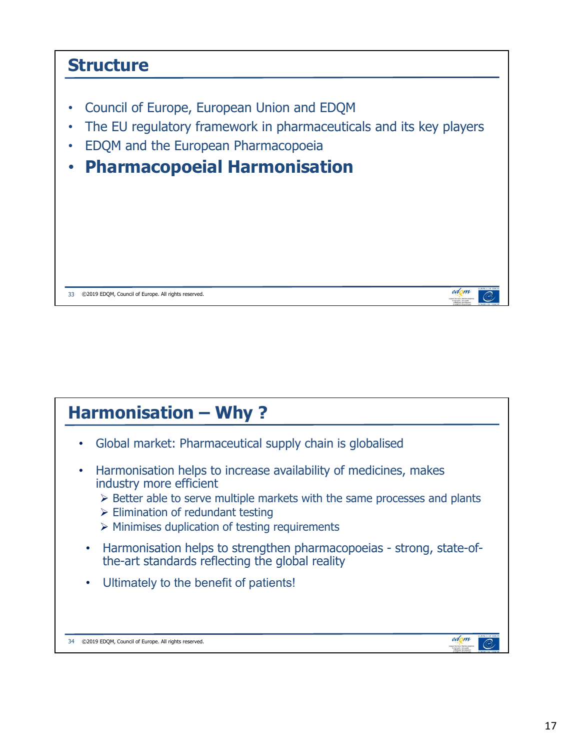# **Structure** • Council of Europe, European Union and EDQM The EU regulatory framework in pharmaceuticals and its key players • EDQM and the European Pharmacopoeia • **Pharmacopoeial Harmonisation**  edom 33 ©2019 EDQM, Council of Europe. All rights reserved.

#### **Harmonisation – Why ?**

- Global market: Pharmaceutical supply chain is globalised
- Harmonisation helps to increase availability of medicines, makes industry more efficient
	- $\triangleright$  Better able to serve multiple markets with the same processes and plants
	- $\triangleright$  Elimination of redundant testing
	- $\triangleright$  Minimises duplication of testing requirements
- Harmonisation helps to strengthen pharmacopoeias strong, state-ofthe-art standards reflecting the global reality
- Ultimately to the benefit of patients!

34 ©2019 EDQM, Council of Europe. All rights reserved.

edom

 $\mathcal{O}$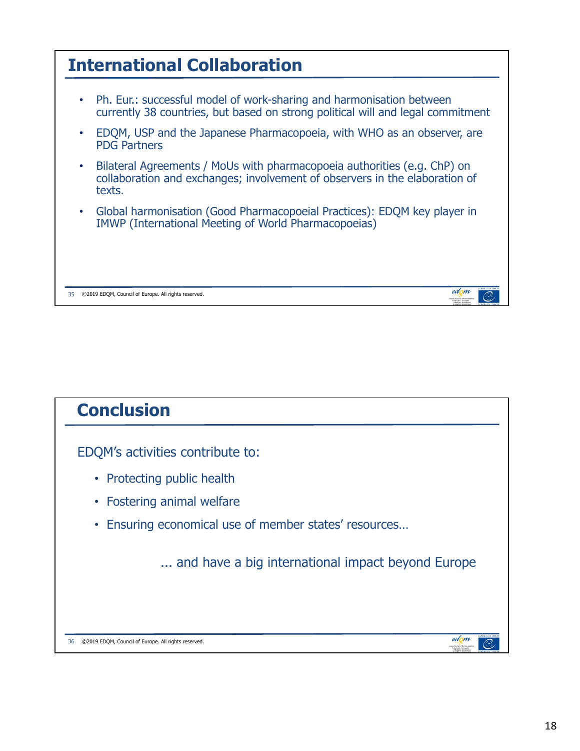